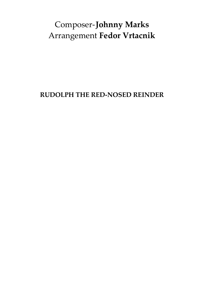**RUDOLPH THE RED-NOSED REINDER**

Composer-**Johnny Marks**  Arrangement **Fedor Vrtacnik**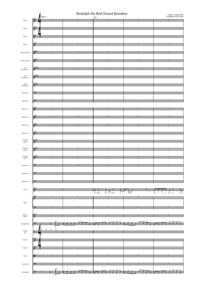

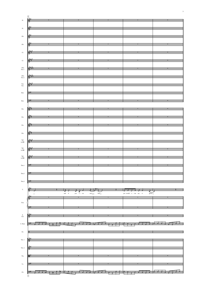

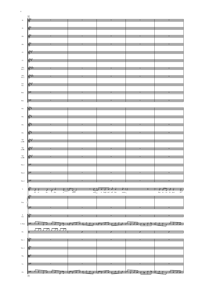|                                             | $\begin{array}{c c}\n\hline\n\text{11} & & \\ \hline\n\text{22} & & \\ \hline\n\text{33} & & \\ \hline\n\text{45} & & \\ \hline\n\text{56} & & \\ \hline\n\text{67} & & \\ \hline\n\text{78} & & \\ \hline\n\text{89} & & \\ \hline\n\text{90} & & \\ \hline\n\text{100} & & \\ \hline\n\text{110} & & \\ \hline\n\text{120} & & \\ \hline\n\text{130} & & \\ \hline\n\text{140} & & \\ \hline\n\text{150} & & \\ \hline\n\text{16$ |                        |                                                                                                                                                                                                                                                                                                                                                          |                                                         |            |                                       |
|---------------------------------------------|-------------------------------------------------------------------------------------------------------------------------------------------------------------------------------------------------------------------------------------------------------------------------------------------------------------------------------------------------------------------------------------------------------------------------------------|------------------------|----------------------------------------------------------------------------------------------------------------------------------------------------------------------------------------------------------------------------------------------------------------------------------------------------------------------------------------------------------|---------------------------------------------------------|------------|---------------------------------------|
| $\mathbf{Fl.}$                              |                                                                                                                                                                                                                                                                                                                                                                                                                                     |                        |                                                                                                                                                                                                                                                                                                                                                          |                                                         |            |                                       |
| $\begin{aligned} \text{Fl.} \end{aligned}$  |                                                                                                                                                                                                                                                                                                                                                                                                                                     |                        | $\frac{2}{3}$                                                                                                                                                                                                                                                                                                                                            |                                                         |            |                                       |
| Ob.                                         |                                                                                                                                                                                                                                                                                                                                                                                                                                     |                        | $\frac{2}{3}$                                                                                                                                                                                                                                                                                                                                            |                                                         |            |                                       |
|                                             |                                                                                                                                                                                                                                                                                                                                                                                                                                     |                        |                                                                                                                                                                                                                                                                                                                                                          |                                                         |            |                                       |
| Ob.                                         |                                                                                                                                                                                                                                                                                                                                                                                                                                     |                        | $\frac{1}{2}$                                                                                                                                                                                                                                                                                                                                            |                                                         |            |                                       |
|                                             |                                                                                                                                                                                                                                                                                                                                                                                                                                     |                        | Clara $\frac{1}{\sqrt{2}}$                                                                                                                                                                                                                                                                                                                               |                                                         |            | $\overline{\phantom{a}}$              |
|                                             |                                                                                                                                                                                                                                                                                                                                                                                                                                     |                        | $\alpha$ $\frac{2\pi i}{\Theta}$ and $\frac{2\pi i}{\Theta}$ and $\frac{2\pi i}{\Theta}$ and $\frac{2\pi i}{\Theta}$ and $\frac{2\pi i}{\Theta}$ and $\frac{2\pi i}{\Theta}$ and $\frac{2\pi i}{\Theta}$ and $\frac{2\pi i}{\Theta}$ and $\frac{2\pi i}{\Theta}$ and $\frac{2\pi i}{\Theta}$ and $\frac{2\pi i}{\Theta}$ and $\frac{2\pi i}{\Theta}$ and |                                                         |            |                                       |
|                                             |                                                                                                                                                                                                                                                                                                                                                                                                                                     |                        |                                                                                                                                                                                                                                                                                                                                                          |                                                         |            |                                       |
| Alto<br>Sax.1                               |                                                                                                                                                                                                                                                                                                                                                                                                                                     |                        | $\frac{2}{3}$                                                                                                                                                                                                                                                                                                                                            |                                                         |            |                                       |
| Alto<br>Sax.2                               |                                                                                                                                                                                                                                                                                                                                                                                                                                     |                        | $\mathscr{L}^{\sharp,\sharp}$                                                                                                                                                                                                                                                                                                                            |                                                         |            |                                       |
| Ten.<br>Sax.                                |                                                                                                                                                                                                                                                                                                                                                                                                                                     |                        | $\mathcal{L}^{\sharp\sharp}$ and the contract of the contract of the contract of the contract of the contract of the contract of the contract of the contract of the contract of the contract of the contract of the contract of the contra                                                                                                              |                                                         |            |                                       |
|                                             |                                                                                                                                                                                                                                                                                                                                                                                                                                     |                        |                                                                                                                                                                                                                                                                                                                                                          |                                                         |            |                                       |
| Bsn.                                        |                                                                                                                                                                                                                                                                                                                                                                                                                                     |                        |                                                                                                                                                                                                                                                                                                                                                          |                                                         |            |                                       |
| Bsn.                                        |                                                                                                                                                                                                                                                                                                                                                                                                                                     |                        | $\blacksquare$                                                                                                                                                                                                                                                                                                                                           |                                                         |            |                                       |
| $_{\rm Hn.}$                                |                                                                                                                                                                                                                                                                                                                                                                                                                                     |                        | $\overline{\phantom{a}}$ . The contract of the contract of the contract of the contract of the contract of the contract of the contract of the contract of the contract of the contract of the contract of the contract of the contract of                                                                                                               |                                                         |            |                                       |
|                                             |                                                                                                                                                                                                                                                                                                                                                                                                                                     |                        |                                                                                                                                                                                                                                                                                                                                                          |                                                         |            |                                       |
| $Hn$ .                                      | $6^{\frac{1}{4}}$                                                                                                                                                                                                                                                                                                                                                                                                                   |                        |                                                                                                                                                                                                                                                                                                                                                          |                                                         |            |                                       |
| Hn.                                         |                                                                                                                                                                                                                                                                                                                                                                                                                                     |                        |                                                                                                                                                                                                                                                                                                                                                          |                                                         |            |                                       |
| Hn.                                         |                                                                                                                                                                                                                                                                                                                                                                                                                                     |                        |                                                                                                                                                                                                                                                                                                                                                          |                                                         |            |                                       |
|                                             |                                                                                                                                                                                                                                                                                                                                                                                                                                     |                        |                                                                                                                                                                                                                                                                                                                                                          |                                                         |            |                                       |
| Tpt.<br>in $B\not\!\!\!\!\!\!\!\!\!\!/$     |                                                                                                                                                                                                                                                                                                                                                                                                                                     |                        |                                                                                                                                                                                                                                                                                                                                                          |                                                         |            |                                       |
| Tpt.<br>in $B\not\!\!\!\!\!\!\!\!\!\!\!\!b$ |                                                                                                                                                                                                                                                                                                                                                                                                                                     |                        |                                                                                                                                                                                                                                                                                                                                                          |                                                         |            |                                       |
| Tpt.<br>in $Bb3$                            |                                                                                                                                                                                                                                                                                                                                                                                                                                     |                        |                                                                                                                                                                                                                                                                                                                                                          |                                                         |            |                                       |
|                                             |                                                                                                                                                                                                                                                                                                                                                                                                                                     |                        |                                                                                                                                                                                                                                                                                                                                                          |                                                         |            |                                       |
| Tbn.1                                       |                                                                                                                                                                                                                                                                                                                                                                                                                                     |                        |                                                                                                                                                                                                                                                                                                                                                          |                                                         |            |                                       |
| Tbn.2                                       |                                                                                                                                                                                                                                                                                                                                                                                                                                     |                        |                                                                                                                                                                                                                                                                                                                                                          |                                                         |            |                                       |
| Tbn.3                                       |                                                                                                                                                                                                                                                                                                                                                                                                                                     |                        |                                                                                                                                                                                                                                                                                                                                                          |                                                         |            |                                       |
| V.                                          |                                                                                                                                                                                                                                                                                                                                                                                                                                     |                        |                                                                                                                                                                                                                                                                                                                                                          | $\rightarrow$ $\rightarrow$ $\rightarrow$ $\rightarrow$ | $\sqrt{2}$ |                                       |
|                                             | All of<br>the                                                                                                                                                                                                                                                                                                                                                                                                                       | $\rm re$<br>$o$ - then | indeer<br>used                                                                                                                                                                                                                                                                                                                                           | to laugh and call him<br>names,                         |            | と<br>$Ru -$<br>they ne - ver let poor |
|                                             |                                                                                                                                                                                                                                                                                                                                                                                                                                     |                        |                                                                                                                                                                                                                                                                                                                                                          |                                                         |            |                                       |
| Pno.                                        |                                                                                                                                                                                                                                                                                                                                                                                                                                     |                        |                                                                                                                                                                                                                                                                                                                                                          |                                                         |            |                                       |
|                                             |                                                                                                                                                                                                                                                                                                                                                                                                                                     |                        |                                                                                                                                                                                                                                                                                                                                                          |                                                         |            |                                       |

E. Gtr.

 $\overline{\phantom{0}}$ 

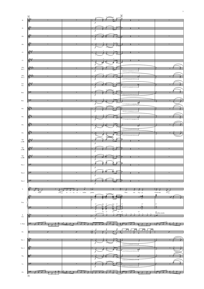



5